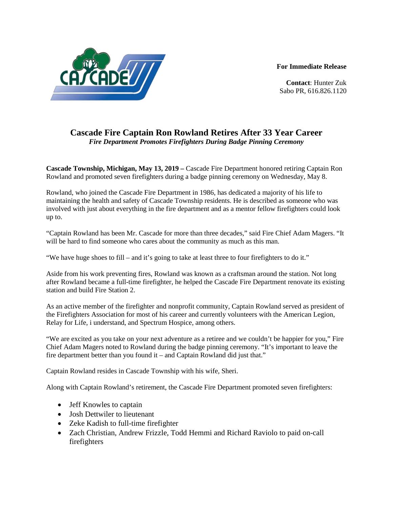**For Immediate Release**



**Contact**: Hunter Zuk Sabo PR, 616.826.1120

## **Cascade Fire Captain Ron Rowland Retires After 33 Year Career** *Fire Department Promotes Firefighters During Badge Pinning Ceremony*

**Cascade Township, Michigan, May 13, 2019 –** Cascade Fire Department honored retiring Captain Ron Rowland and promoted seven firefighters during a badge pinning ceremony on Wednesday, May 8.

Rowland, who joined the Cascade Fire Department in 1986, has dedicated a majority of his life to maintaining the health and safety of Cascade Township residents. He is described as someone who was involved with just about everything in the fire department and as a mentor fellow firefighters could look up to.

"Captain Rowland has been Mr. Cascade for more than three decades," said Fire Chief Adam Magers. "It will be hard to find someone who cares about the community as much as this man.

"We have huge shoes to fill – and it's going to take at least three to four firefighters to do it."

Aside from his work preventing fires, Rowland was known as a craftsman around the station. Not long after Rowland became a full-time firefighter, he helped the Cascade Fire Department renovate its existing station and build Fire Station 2.

As an active member of the firefighter and nonprofit community, Captain Rowland served as president of the Firefighters Association for most of his career and currently volunteers with the American Legion, Relay for Life, i understand, and Spectrum Hospice, among others.

"We are excited as you take on your next adventure as a retiree and we couldn't be happier for you," Fire Chief Adam Magers noted to Rowland during the badge pinning ceremony. "It's important to leave the fire department better than you found it – and Captain Rowland did just that."

Captain Rowland resides in Cascade Township with his wife, Sheri.

Along with Captain Rowland's retirement, the Cascade Fire Department promoted seven firefighters:

- Jeff Knowles to captain
- Josh Dettwiler to lieutenant
- Zeke Kadish to full-time firefighter
- Zach Christian, Andrew Frizzle, Todd Hemmi and Richard Raviolo to paid on-call firefighters